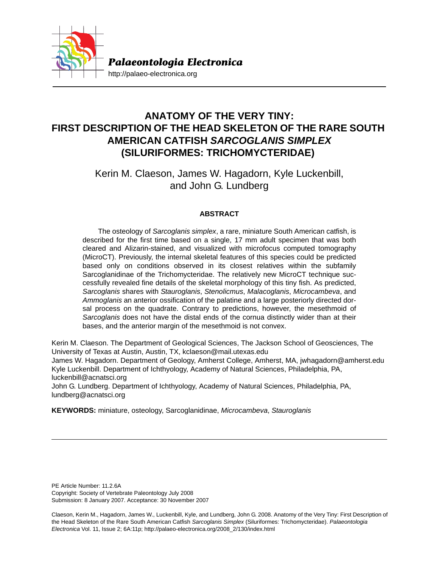

# **ANATOMY OF THE VERY TINY: FIRST DESCRIPTION OF THE HEAD SKELETON OF THE RARE SOUTH AMERICAN CATFISH** *SARCOGLANIS SIMPLEX* **(SILURIFORMES: TRICHOMYCTERIDAE)**

Kerin M. Claeson, James W. Hagadorn, Kyle Luckenbill, and John G. Lundberg

# **ABSTRACT**

The osteology of *Sarcoglanis simplex*, a rare, miniature South American catfish, is described for the first time based on a single, 17 mm adult specimen that was both cleared and Alizarin-stained, and visualized with microfocus computed tomography (MicroCT). Previously, the internal skeletal features of this species could be predicted based only on conditions observed in its closest relatives within the subfamily Sarcoglanidinae of the Trichomycteridae. The relatively new MicroCT technique successfully revealed fine details of the skeletal morphology of this tiny fish. As predicted, *Sarcoglanis* shares with *Stauroglanis*, *Stenolicmus*, *Malacoglanis*, *Microcambeva*, and *Ammoglanis* an anterior ossification of the palatine and a large posteriorly directed dorsal process on the quadrate. Contrary to predictions, however, the mesethmoid of *Sarcoglanis* does not have the distal ends of the cornua distinctly wider than at their bases, and the anterior margin of the mesethmoid is not convex.

Kerin M. Claeson. The Department of Geological Sciences, The Jackson School of Geosciences, The University of Texas at Austin, Austin, TX, kclaeson@mail.utexas.edu

James W. Hagadorn. Department of Geology, Amherst College, Amherst, MA, jwhagadorn@amherst.edu Kyle Luckenbill. Department of Ichthyology, Academy of Natural Sciences, Philadelphia, PA, luckenbill@acnatsci.org

John G. Lundberg. Department of Ichthyology, Academy of Natural Sciences, Philadelphia, PA, lundberg@acnatsci.org

**KEYWORDS:** miniature, osteology, Sarcoglanidinae, *Microcambeva*, *Stauroglanis*

PE Article Number: 11.2.6A Copyright: Society of Vertebrate Paleontology July 2008 Submission: 8 January 2007. Acceptance: 30 November 2007

Claeson, Kerin M., Hagadorn, James W., Luckenbill, Kyle, and Lundberg, John G. 2008. Anatomy of the Very Tiny: First Description of the Head Skeleton of the Rare South American Catfish *Sarcoglanis Simplex* (Siluriformes: Trichomycteridae). *Palaeontologia Electronica* Vol. 11, Issue 2; 6A:11p; http://palaeo-electronica.org/2008\_2/130/index.html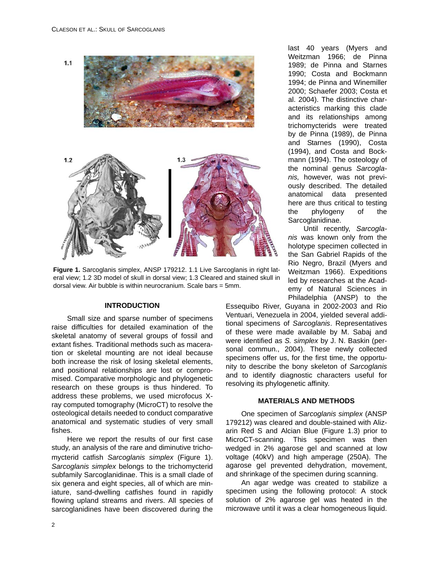



**Figure 1.** Sarcoglanis simplex, ANSP 179212. 1.1 Live Sarcoglanis in right lateral view; 1.2 3D model of skull in dorsal view; 1.3 Cleared and stained skull in dorsal view. Air bubble is within neurocranium. Scale bars = 5mm.

### **INTRODUCTION**

Small size and sparse number of specimens raise difficulties for detailed examination of the skeletal anatomy of several groups of fossil and extant fishes. Traditional methods such as maceration or skeletal mounting are not ideal because both increase the risk of losing skeletal elements, and positional relationships are lost or compromised. Comparative morphologic and phylogenetic research on these groups is thus hindered. To address these problems, we used microfocus Xray computed tomography (MicroCT) to resolve the osteological details needed to conduct comparative anatomical and systematic studies of very small fishes.

Here we report the results of our first case study, an analysis of the rare and diminutive trichomycterid catfish *Sarcoglanis simplex* (Figure 1). *Sarcoglanis simplex* belongs to the trichomycterid subfamily Sarcoglanidinae. This is a small clade of six genera and eight species, all of which are miniature, sand-dwelling catfishes found in rapidly flowing upland streams and rivers. All species of sarcoglanidines have been discovered during the

last 40 years (Myers and Weitzman 1966; de Pinna 1989; de Pinna and Starnes 1990; Costa and Bockmann 1994; de Pinna and Winemiller 2000; Schaefer 2003; Costa et al. 2004). The distinctive characteristics marking this clade and its relationships among trichomycterids were treated by de Pinna (1989), de Pinna and Starnes (1990), Costa (1994), and Costa and Bockmann (1994). The osteology of the nominal genus *Sarcoglanis,* however, was not previously described. The detailed anatomical data presented here are thus critical to testing the phylogeny of the Sarcoglanidinae.

Until recently, *Sarcoglanis* was known only from the holotype specimen collected in the San Gabriel Rapids of the Rio Negro, Brazil (Myers and Weitzman 1966). Expeditions led by researches at the Academy of Natural Sciences in Philadelphia (ANSP) to the

Essequibo River, Guyana in 2002-2003 and Rio Ventuari, Venezuela in 2004, yielded several additional specimens of *Sarcoglanis*. Representatives of these were made available by M. Sabaj and were identified as *S. simplex* by J. N. Baskin (personal commun., 2004). These newly collected specimens offer us, for the first time, the opportunity to describe the bony skeleton of *Sarcoglanis* and to identify diagnostic characters useful for resolving its phylogenetic affinity.

#### **MATERIALS AND METHODS**

One specimen of *Sarcoglanis simplex* (ANSP 179212) was cleared and double-stained with Alizarin Red S and Alcian Blue (Figure 1.3) prior to MicroCT-scanning. This specimen was then wedged in 2% agarose gel and scanned at low voltage (40kV) and high amperage (250A). The agarose gel prevented dehydration, movement, and shrinkage of the specimen during scanning.

An agar wedge was created to stabilize a specimen using the following protocol: A stock solution of 2% agarose gel was heated in the microwave until it was a clear homogeneous liquid.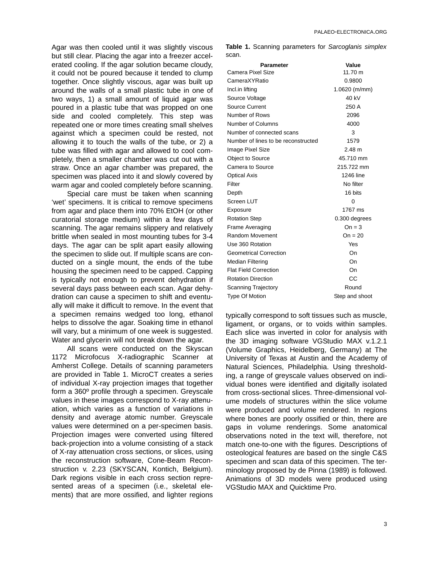Agar was then cooled until it was slightly viscous but still clear. Placing the agar into a freezer accelerated cooling. If the agar solution became cloudy, it could not be poured because it tended to clump together. Once slightly viscous, agar was built up around the walls of a small plastic tube in one of two ways, 1) a small amount of liquid agar was poured in a plastic tube that was propped on one side and cooled completely. This step was repeated one or more times creating small shelves against which a specimen could be rested, not allowing it to touch the walls of the tube, or 2) a tube was filled with agar and allowed to cool completely, then a smaller chamber was cut out with a straw. Once an agar chamber was prepared, the specimen was placed into it and slowly covered by warm agar and cooled completely before scanning.

Special care must be taken when scanning 'wet' specimens. It is critical to remove specimens from agar and place them into 70% EtOH (or other curatorial storage medium) within a few days of scanning. The agar remains slippery and relatively brittle when sealed in most mounting tubes for 3-4 days. The agar can be split apart easily allowing the specimen to slide out. If multiple scans are conducted on a single mount, the ends of the tube housing the specimen need to be capped. Capping is typically not enough to prevent dehydration if several days pass between each scan. Agar dehydration can cause a specimen to shift and eventually will make it difficult to remove. In the event that a specimen remains wedged too long, ethanol helps to dissolve the agar. Soaking time in ethanol will vary, but a minimum of one week is suggested. Water and glycerin will not break down the agar.

All scans were conducted on the Skyscan 1172 Microfocus X-radiographic Scanner at Amherst College. Details of scanning parameters are provided in Table 1. MicroCT creates a series of individual X-ray projection images that together form a 360º profile through a specimen. Greyscale values in these images correspond to X-ray attenuation, which varies as a function of variations in density and average atomic number. Greyscale values were determined on a per-specimen basis. Projection images were converted using filtered back-projection into a volume consisting of a stack of X-ray attenuation cross sections, or slices, using the reconstruction software, Cone-Beam Reconstruction v. 2.23 (SKYSCAN, Kontich, Belgium). Dark regions visible in each cross section represented areas of a specimen (i.e., skeletal elements) that are more ossified, and lighter regions

**Table 1.** Scanning parameters for *Sarcoglanis simplex* scan.

| <b>Parameter</b>                    | Value           |
|-------------------------------------|-----------------|
| Camera Pixel Size                   | 11.70 m         |
| CameraXYRatio                       | 0.9800          |
| Incl.in lifting                     | $1.0620$ (m/mm) |
| Source Voltage                      | 40 kV           |
| Source Current                      | 250 A           |
| Number of Rows                      | 2096            |
| Number of Columns                   | 4000            |
| Number of connected scans           | 3               |
| Number of lines to be reconstructed | 1579            |
| Image Pixel Size                    | 2.48 m          |
| <b>Object to Source</b>             | 45.710 mm       |
| Camera to Source                    | 215.722 mm      |
| <b>Optical Axis</b>                 | 1246 line       |
| Filter                              | No filter       |
| Depth                               | 16 bits         |
| Screen LUT                          | 0               |
| Exposure                            | 1767 ms         |
| <b>Rotation Step</b>                | 0.300 degrees   |
| Frame Averaging                     | $On = 3$        |
| Random Movement                     | $On = 20$       |
| Use 360 Rotation                    | Yes             |
| <b>Geometrical Correction</b>       | On              |
| Median Filtering                    | On              |
| <b>Flat Field Correction</b>        | On              |
| <b>Rotation Direction</b>           | СC              |
| Scanning Trajectory                 | Round           |
| <b>Type Of Motion</b>               | Step and shoot  |

typically correspond to soft tissues such as muscle, ligament, or organs, or to voids within samples. Each slice was inverted in color for analysis with the 3D imaging software VGStudio MAX v.1.2.1 (Volume Graphics, Heidelberg, Germany) at The University of Texas at Austin and the Academy of Natural Sciences, Philadelphia. Using thresholding, a range of greyscale values observed on individual bones were identified and digitally isolated from cross-sectional slices. Three-dimensional volume models of structures within the slice volume were produced and volume rendered. In regions where bones are poorly ossified or thin, there are gaps in volume renderings. Some anatomical observations noted in the text will, therefore, not match one-to-one with the figures. Descriptions of osteological features are based on the single C&S specimen and scan data of this specimen. The terminology proposed by de Pinna (1989) is followed. Animations of 3D models were produced using VGStudio MAX and Quicktime Pro.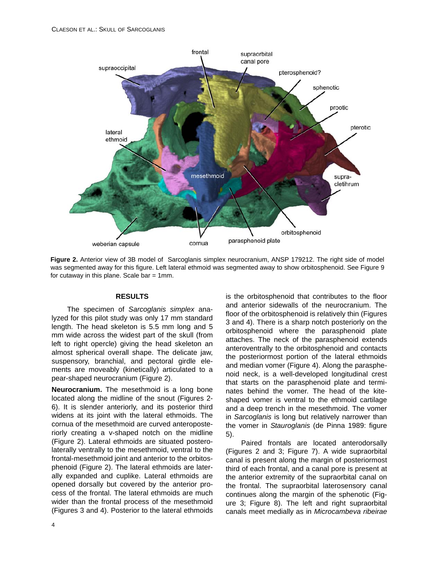

**Figure 2.** Anterior view of 3B model of Sarcoglanis simplex neurocranium, ANSP 179212. The right side of model was segmented away for this figure. Left lateral ethmoid was segmented away to show orbitosphenoid. See Figure 9 for cutaway in this plane. Scale bar  $= 1$ mm.

#### **RESULTS**

The specimen of *Sarcoglanis simplex* analyzed for this pilot study was only 17 mm standard length. The head skeleton is 5.5 mm long and 5 mm wide across the widest part of the skull (from left to right opercle) giving the head skeleton an almost spherical overall shape. The delicate jaw, suspensory, branchial, and pectoral girdle elements are moveably (kinetically) articulated to a pear-shaped neurocranium (Figure 2).

**Neurocranium.** The mesethmoid is a long bone located along the midline of the snout (Figures 2- 6). It is slender anteriorly, and its posterior third widens at its joint with the lateral ethmoids. The cornua of the mesethmoid are curved anteroposteriorly creating a v-shaped notch on the midline (Figure 2). Lateral ethmoids are situated posterolaterally ventrally to the mesethmoid, ventral to the frontal-mesethmoid joint and anterior to the orbitosphenoid (Figure 2). The lateral ethmoids are laterally expanded and cuplike. Lateral ethmoids are opened dorsally but covered by the anterior process of the frontal. The lateral ethmoids are much wider than the frontal process of the mesethmoid (Figures 3 and 4). Posterior to the lateral ethmoids is the orbitosphenoid that contributes to the floor and anterior sidewalls of the neurocranium. The floor of the orbitosphenoid is relatively thin (Figures 3 and 4). There is a sharp notch posteriorly on the orbitosphenoid where the parasphenoid plate attaches. The neck of the parasphenoid extends anteroventrally to the orbitosphenoid and contacts the posteriormost portion of the lateral ethmoids and median vomer (Figure 4). Along the parasphenoid neck, is a well-developed longitudinal crest that starts on the parasphenoid plate and terminates behind the vomer. The head of the kiteshaped vomer is ventral to the ethmoid cartilage and a deep trench in the mesethmoid. The vomer in *Sarcoglanis* is long but relatively narrower than the vomer in *Stauroglanis* (de Pinna 1989: figure 5).

Paired frontals are located anterodorsally (Figures 2 and 3; Figure 7). A wide supraorbital canal is present along the margin of posteriormost third of each frontal, and a canal pore is present at the anterior extremity of the supraorbital canal on the frontal. The supraorbital laterosensory canal continues along the margin of the sphenotic (Figure 3; Figure 8). The left and right supraorbital canals meet medially as in *Microcambeva ribeirae*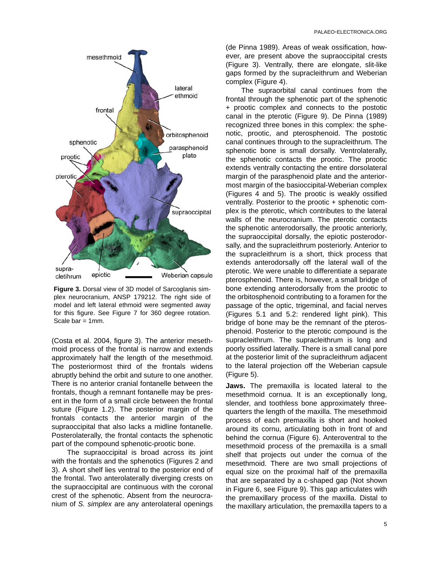

**Figure 3.** Dorsal view of 3D model of Sarcoglanis simplex neurocranium, ANSP 179212. The right side of model and left lateral ethmoid were segmented away for this figure. See Figure 7 for 360 degree rotation. Scale bar  $= 1$ mm.

(Costa et al. 2004, figure 3). The anterior mesethmoid process of the frontal is narrow and extends approximately half the length of the mesethmoid. The posteriormost third of the frontals widens abruptly behind the orbit and suture to one another. There is no anterior cranial fontanelle between the frontals, though a remnant fontanelle may be present in the form of a small circle between the frontal suture (Figure 1.2). The posterior margin of the frontals contacts the anterior margin of the supraoccipital that also lacks a midline fontanelle. Posterolaterally, the frontal contacts the sphenotic part of the compound sphenotic-prootic bone.

The supraoccipital is broad across its joint with the frontals and the sphenotics (Figures 2 and 3). A short shelf lies ventral to the posterior end of the frontal. Two anterolaterally diverging crests on the supraoccipital are continuous with the coronal crest of the sphenotic. Absent from the neurocranium of *S. simplex* are any anterolateral openings

(de Pinna 1989). Areas of weak ossification, however, are present above the supraoccipital crests (Figure 3). Ventrally, there are elongate, slit-like gaps formed by the supracleithrum and Weberian complex (Figure 4).

The supraorbital canal continues from the frontal through the sphenotic part of the sphenotic + prootic complex and connects to the postotic canal in the pterotic (Figure 9). De Pinna (1989) recognized three bones in this complex: the sphenotic, prootic, and pterosphenoid. The postotic canal continues through to the supracleithrum. The sphenotic bone is small dorsally. Ventrolaterally, the sphenotic contacts the prootic. The prootic extends ventrally contacting the entire dorsolateral margin of the parasphenoid plate and the anteriormost margin of the basioccipital-Weberian complex (Figures 4 and 5). The prootic is weakly ossified ventrally. Posterior to the prootic + sphenotic complex is the pterotic, which contributes to the lateral walls of the neurocranium. The pterotic contacts the sphenotic anterodorsally, the prootic anteriorly, the supraoccipital dorsally, the epiotic posterodorsally, and the supracleithrum posteriorly. Anterior to the supracleithrum is a short, thick process that extends anterodorsally off the lateral wall of the pterotic. We were unable to differentiate a separate pterosphenoid. There is, however, a small bridge of bone extending anterodorsally from the prootic to the orbitosphenoid contributing to a foramen for the passage of the optic, trigeminal, and facial nerves (Figures 5.1 and 5.2: rendered light pink). This bridge of bone may be the remnant of the pterosphenoid. Posterior to the pterotic compound is the supracleithrum. The supracleithrum is long and poorly ossified laterally. There is a small canal pore at the posterior limit of the supracleithrum adjacent to the lateral projection off the Weberian capsule (Figure 5).

**Jaws.** The premaxilla is located lateral to the mesethmoid cornua. It is an exceptionally long, slender, and toothless bone approximately threequarters the length of the maxilla. The mesethmoid process of each premaxilla is short and hooked around its cornu, articulating both in front of and behind the cornua (Figure 6). Anteroventral to the mesethmoid process of the premaxilla is a small shelf that projects out under the cornua of the mesethmoid. There are two small projections of equal size on the proximal half of the premaxilla that are separated by a c-shaped gap (Not shown in Figure 6, see Figure 9). This gap articulates with the premaxillary process of the maxilla. Distal to the maxillary articulation, the premaxilla tapers to a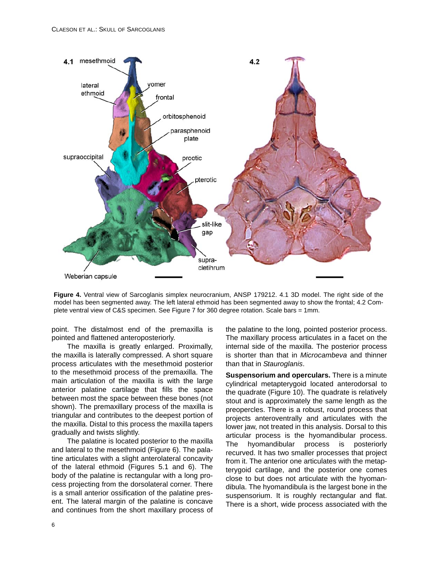

**Figure 4.** Ventral view of Sarcoglanis simplex neurocranium, ANSP 179212. 4.1 3D model. The right side of the model has been segmented away. The left lateral ethmoid has been segmented away to show the frontal; 4.2 Complete ventral view of C&S specimen. See Figure 7 for 360 degree rotation. Scale bars = 1mm.

point. The distalmost end of the premaxilla is pointed and flattened anteroposteriorly.

The maxilla is greatly enlarged. Proximally, the maxilla is laterally compressed. A short square process articulates with the mesethmoid posterior to the mesethmoid process of the premaxilla. The main articulation of the maxilla is with the large anterior palatine cartilage that fills the space between most the space between these bones (not shown). The premaxillary process of the maxilla is triangular and contributes to the deepest portion of the maxilla. Distal to this process the maxilla tapers gradually and twists slightly.

The palatine is located posterior to the maxilla and lateral to the mesethmoid (Figure 6). The palatine articulates with a slight anterolateral concavity of the lateral ethmoid (Figures 5.1 and 6). The body of the palatine is rectangular with a long process projecting from the dorsolateral corner. There is a small anterior ossification of the palatine present. The lateral margin of the palatine is concave and continues from the short maxillary process of the palatine to the long, pointed posterior process. The maxillary process articulates in a facet on the internal side of the maxilla. The posterior process is shorter than that in *Microcambeva* and thinner than that in *Stauroglanis*.

**Suspensorium and operculars.** There is a minute cylindrical metapterygoid located anterodorsal to the quadrate (Figure 10). The quadrate is relatively stout and is approximately the same length as the preopercles. There is a robust, round process that projects anteroventrally and articulates with the lower jaw, not treated in this analysis. Dorsal to this articular process is the hyomandibular process. The hyomandibular process is posteriorly recurved. It has two smaller processes that project from it. The anterior one articulates with the metapterygoid cartilage, and the posterior one comes close to but does not articulate with the hyomandibula. The hyomandibula is the largest bone in the suspensorium. It is roughly rectangular and flat. There is a short, wide process associated with the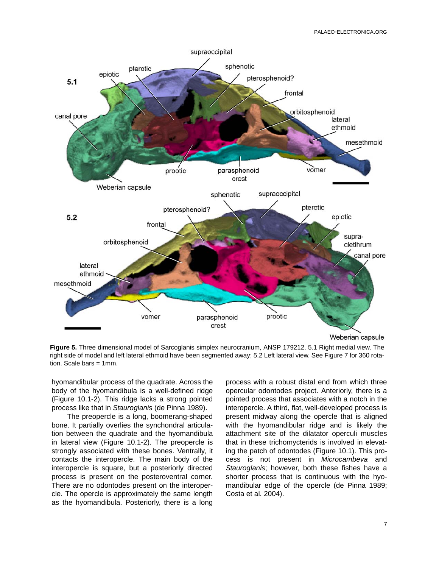

**Figure 5.** Three dimensional model of Sarcoglanis simplex neurocranium, ANSP 179212. 5.1 Right medial view. The right side of model and left lateral ethmoid have been segmented away; 5.2 Left lateral view. See Figure 7 for 360 rotation. Scale bars = 1mm.

hyomandibular process of the quadrate. Across the body of the hyomandibula is a well-defined ridge (Figure 10.1-2). This ridge lacks a strong pointed process like that in *Stauroglanis* (de Pinna 1989).

The preopercle is a long, boomerang-shaped bone. It partially overlies the synchondral articulation between the quadrate and the hyomandibula in lateral view (Figure 10.1-2). The preopercle is strongly associated with these bones. Ventrally, it contacts the interopercle. The main body of the interopercle is square, but a posteriorly directed process is present on the posteroventral corner. There are no odontodes present on the interopercle. The opercle is approximately the same length as the hyomandibula. Posteriorly, there is a long

process with a robust distal end from which three opercular odontodes project. Anteriorly, there is a pointed process that associates with a notch in the interopercle. A third, flat, well-developed process is present midway along the opercle that is aligned with the hyomandibular ridge and is likely the attachment site of the dilatator operculi muscles that in these trichomycterids is involved in elevating the patch of odontodes (Figure 10.1). This process is not present in *Microcambeva* and *Stauroglanis*; however, both these fishes have a shorter process that is continuous with the hyomandibular edge of the opercle (de Pinna 1989; Costa et al. 2004).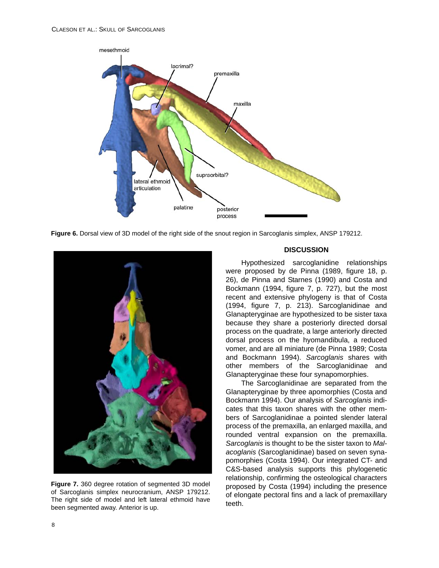

**Figure 6.** Dorsal view of 3D model of the right side of the snout region in Sarcoglanis simplex, ANSP 179212.



**Figure 7.** 360 degree rotation of segmented 3D model of Sarcoglanis simplex neurocranium, ANSP 179212. The right side of model and left lateral ethmoid have been segmented away. Anterior is up.

# **DISCUSSION**

Hypothesized sarcoglanidine relationships were proposed by de Pinna (1989, figure 18, p. 26), de Pinna and Starnes (1990) and Costa and Bockmann (1994, figure 7, p. 727), but the most recent and extensive phylogeny is that of Costa (1994, figure 7, p. 213). Sarcoglanidinae and Glanapteryginae are hypothesized to be sister taxa because they share a posteriorly directed dorsal process on the quadrate, a large anteriorly directed dorsal process on the hyomandibula, a reduced vomer, and are all miniature (de Pinna 1989; Costa and Bockmann 1994). *Sarcoglanis* shares with other members of the Sarcoglanidinae and Glanapteryginae these four synapomorphies.

The Sarcoglanidinae are separated from the Glanapteryginae by three apomorphies (Costa and Bockmann 1994). Our analysis of *Sarcoglanis* indicates that this taxon shares with the other members of Sarcoglanidinae a pointed slender lateral process of the premaxilla, an enlarged maxilla, and rounded ventral expansion on the premaxilla. *Sarcoglanis* is thought to be the sister taxon to *Malacoglanis* (Sarcoglanidinae) based on seven synapomorphies (Costa 1994). Our integrated CT- and C&S-based analysis supports this phylogenetic relationship, confirming the osteological characters proposed by Costa (1994) including the presence of elongate pectoral fins and a lack of premaxillary teeth.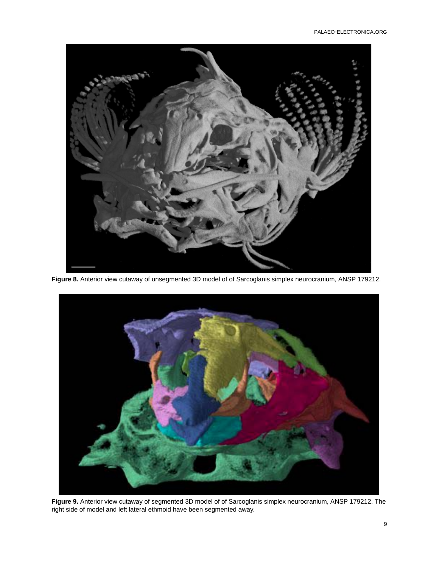

**Figure 8.** Anterior view cutaway of unsegmented 3D model of of Sarcoglanis simplex neurocranium, ANSP 179212.



**Figure 9.** Anterior view cutaway of segmented 3D model of of Sarcoglanis simplex neurocranium, ANSP 179212. The right side of model and left lateral ethmoid have been segmented away.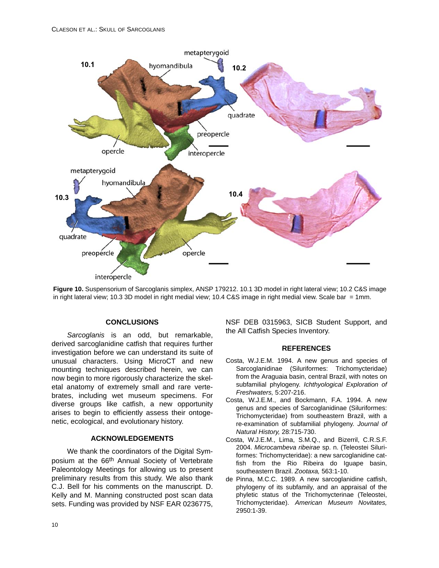

**Figure 10.** Suspensorium of Sarcoglanis simplex, ANSP 179212. 10.1 3D model in right lateral view; 10.2 C&S image in right lateral view; 10.3 3D model in right medial view; 10.4 C&S image in right medial view. Scale bar = 1mm.

# **CONCLUSIONS**

*Sarcoglanis* is an odd, but remarkable, derived sarcoglanidine catfish that requires further investigation before we can understand its suite of unusual characters. Using MicroCT and new mounting techniques described herein, we can now begin to more rigorously characterize the skeletal anatomy of extremely small and rare vertebrates, including wet museum specimens. For diverse groups like catfish, a new opportunity arises to begin to efficiently assess their ontogenetic, ecological, and evolutionary history.

# **ACKNOWLEDGEMENTS**

We thank the coordinators of the Digital Symposium at the 66th Annual Society of Vertebrate Paleontology Meetings for allowing us to present preliminary results from this study. We also thank C.J. Bell for his comments on the manuscript. D. Kelly and M. Manning constructed post scan data sets. Funding was provided by NSF EAR 0236775,

NSF DEB 0315963, SICB Student Support, and the All Catfish Species Inventory.

#### **REFERENCES**

- Costa, W.J.E.M. 1994. A new genus and species of Sarcoglanidinae (Siluriformes: Trichomycteridae) from the Araguaia basin, central Brazil, with notes on subfamilial phylogeny. *Ichthyological Exploration of Freshwaters,* 5:207-216.
- Costa, W.J.E.M., and Bockmann, F.A. 1994. A new genus and species of Sarcoglanidinae (Siluriformes: Trichomycteridae) from southeastern Brazil, with a re-examination of subfamilial phylogeny. *Journal of Natural History,* 28:715-730.
- Costa, W.J.E.M., Lima, S.M.Q., and Bizerril, C.R.S.F. 2004. *Microcambeva ribeirae* sp. n. (Teleostei Siluriformes: Trichomycteridae): a new sarcoglanidine catfish from the Rio Ribeira do Iguape basin, southeastern Brazil. *Zootaxa,* 563:1-10.
- de Pinna, M.C.C. 1989. A new sarcoglanidine catfish, phylogeny of its subfamily, and an appraisal of the phyletic status of the Trichomycterinae (Teleostei, Trichomycteridae). *American Museum Novitates,* 2950:1-39.